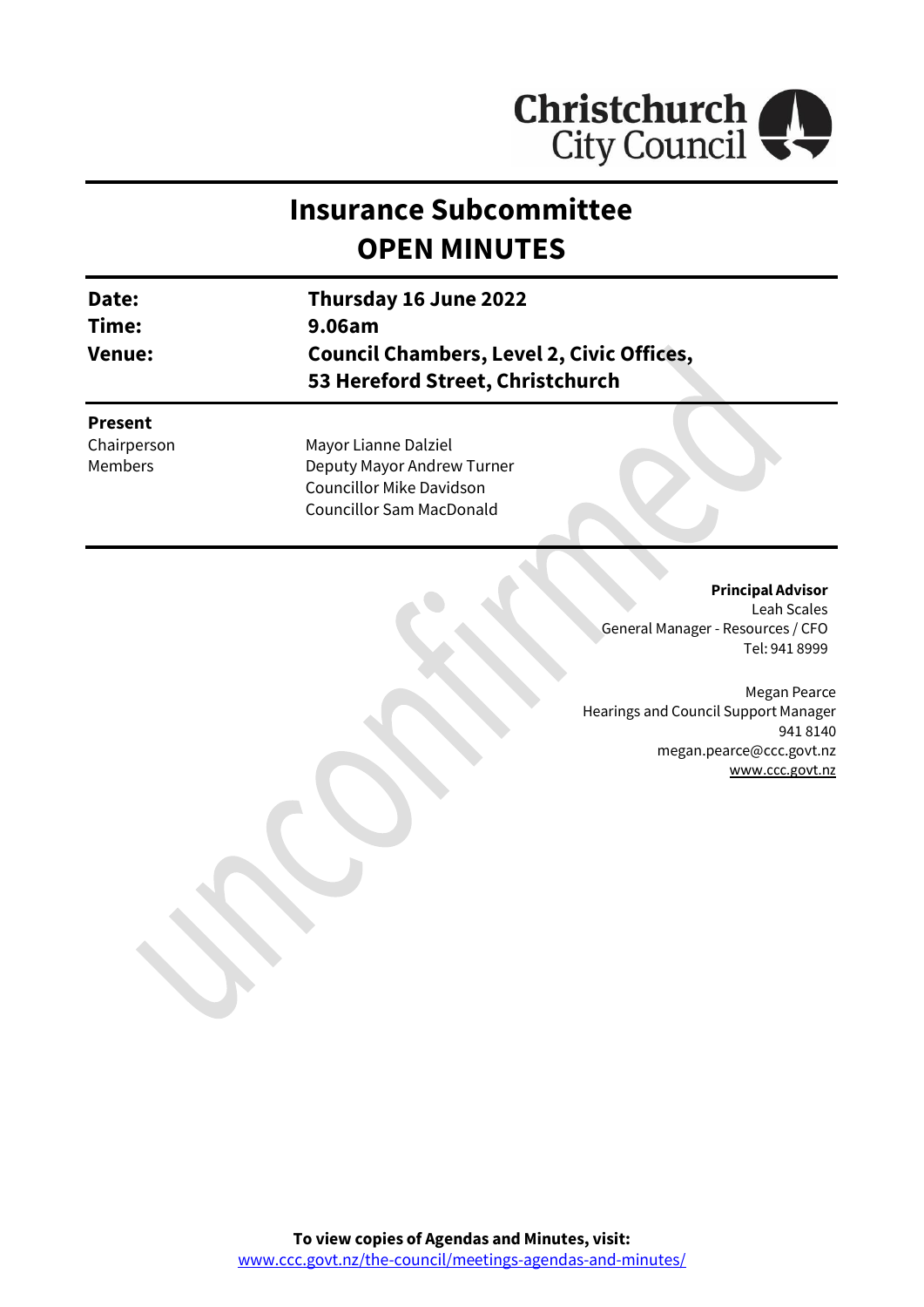

# **Insurance Subcommittee OPEN MINUTES**

| Date:<br>Time:<br><b>Venue:</b>                 | Thursday 16 June 2022<br>9.06am<br><b>Council Chambers, Level 2, Civic Offices,</b><br>53 Hereford Street, Christchurch  |
|-------------------------------------------------|--------------------------------------------------------------------------------------------------------------------------|
| <b>Present</b><br>Chairperson<br><b>Members</b> | Mayor Lianne Dalziel<br>Deputy Mayor Andrew Turner<br><b>Councillor Mike Davidson</b><br><b>Councillor Sam MacDonald</b> |

#### **Principal Advisor**

Leah Scales General Manager - Resources / CFO Tel: 941 8999

Megan Pearce Hearings and Council Support Manager 941 8140 megan.pearce@ccc.govt.nz [www.ccc.govt.nz](http://www.ccc.govt.nz/)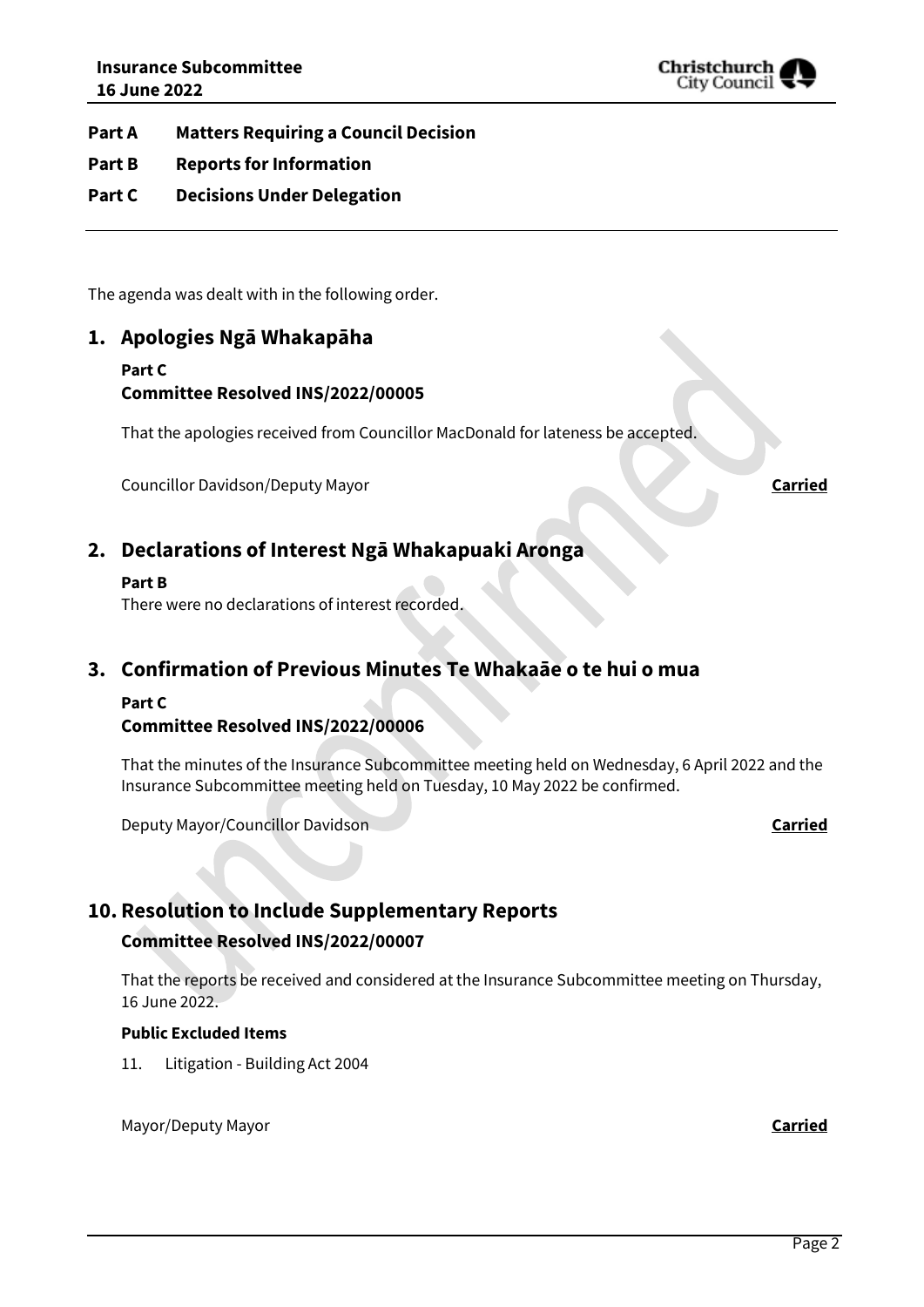

**Part A Matters Requiring a Council Decision**

- **Part B Reports for Information**
- **Part C Decisions Under Delegation**

The agenda was dealt with in the following order.

#### **1. Apologies Ngā Whakapāha**

#### **Part C**

#### **Committee Resolved INS/2022/00005**

That the apologies received from Councillor MacDonald for lateness be accepted.

Councillor Davidson/Deputy Mayor **Carried**

#### **2. Declarations of Interest Ngā Whakapuaki Aronga**

#### **Part B**

There were no declarations of interest recorded.

### **3. Confirmation of Previous Minutes Te Whakaāe o te hui o mua**

#### **Part C**

#### **Committee Resolved INS/2022/00006**

That the minutes of the Insurance Subcommittee meeting held on Wednesday, 6 April 2022 and the Insurance Subcommittee meeting held on Tuesday, 10 May 2022 be confirmed.

Deputy Mayor/Councillor Davidson **Carried**

### **10. Resolution to Include Supplementary Reports**

#### **Committee Resolved INS/2022/00007**

That the reports be received and considered at the Insurance Subcommittee meeting on Thursday, 16 June 2022.

#### **Public Excluded Items**

11. Litigation - Building Act 2004

Mayor/Deputy Mayor **Carried**